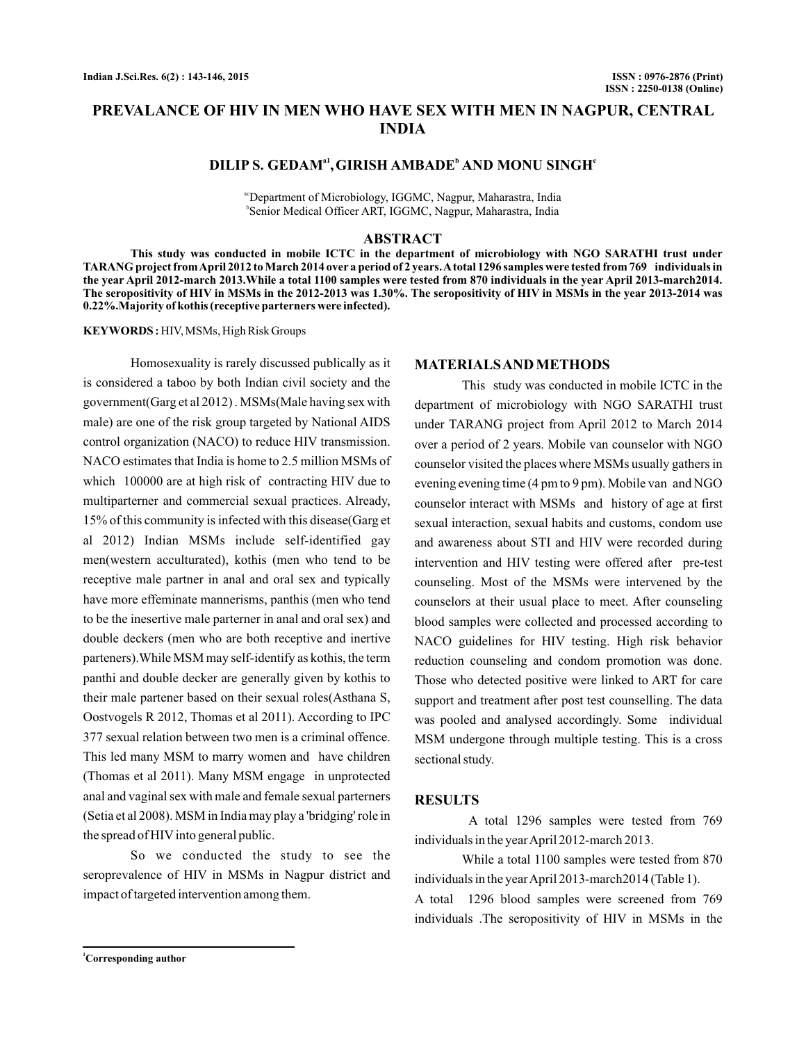# **PREVALANCE OF HIV IN MEN WHO HAVE SEX WITH MEN IN NAGPUR, CENTRAL INDIA**

### **DILIP S. GEDAM<sup>a1</sup>, GIRISH AMBADE<sup>b</sup> AND MONU SINGH<sup>c</sup>**

acDepartment of Microbiology, IGGMC, Nagpur, Maharastra, India b Senior Medical Officer ART, IGGMC, Nagpur, Maharastra, India

#### **ABSTRACT**

**This study was conducted in mobile ICTC in the department of microbiology with NGO SARATHI trust under TARANG project fromApril 2012 to March 2014 over a period of 2 years.Atotal 1296 samples were tested from 769 individuals in the year April 2012-march 2013.While a total 1100 samples were tested from 870 individuals in the year April 2013-march2014. The seropositivity of HIV in MSMs in the 2012-2013 was 1.30%. The seropositivity of HIV in MSMs in the year 2013-2014 was 0.22%.Majority of kothis (receptive parterners were infected).**

**KEYWORDS :** HIV, MSMs, High Risk Groups

Homosexuality is rarely discussed publically as it is considered a taboo by both Indian civil society and the government(Garg et al 2012) . MSMs(Male having sex with male) are one of the risk group targeted by National AIDS control organization (NACO) to reduce HIV transmission. NACO estimates that India is home to 2.5 million MSMs of which 100000 are at high risk of contracting HIV due to multiparterner and commercial sexual practices. Already, 15% of this community is infected with this disease(Garg et al 2012) Indian MSMs include self-identified gay men(western acculturated), kothis (men who tend to be receptive male partner in anal and oral sex and typically have more effeminate mannerisms, panthis (men who tend to be the inesertive male parterner in anal and oral sex) and double deckers (men who are both receptive and inertive parteners).While MSM may self-identify as kothis, the term panthi and double decker are generally given by kothis to their male partener based on their sexual roles(Asthana S, Oostvogels R 2012, Thomas et al 2011). According to IPC 377 sexual relation between two men is a criminal offence. This led many MSM to marry women and have children (Thomas et al 2011). Many MSM engage in unprotected anal and vaginal sex with male and female sexual parterners (Setia et al 2008). MSM in India may play a 'bridging' role in the spread of HIV into general public.

So we conducted the study to see the seroprevalence of HIV in MSMs in Nagpur district and impact of targeted intervention among them.

### **MATERIALSAND METHODS**

This study was conducted in mobile ICTC in the department of microbiology with NGO SARATHI trust under TARANG project from April 2012 to March 2014 over a period of 2 years. Mobile van counselor with NGO counselor visited the places where MSMs usually gathers in evening evening time (4 pm to 9 pm). Mobile van and NGO counselor interact with MSMs and history of age at first sexual interaction, sexual habits and customs, condom use and awareness about STI and HIV were recorded during intervention and HIV testing were offered after pre-test counseling. Most of the MSMs were intervened by the counselors at their usual place to meet. After counseling blood samples were collected and processed according to NACO guidelines for HIV testing. High risk behavior reduction counseling and condom promotion was done. Those who detected positive were linked to ART for care support and treatment after post test counselling. The data was pooled and analysed accordingly. Some individual MSM undergone through multiple testing. This is a cross sectional study.

### **RESULTS**

A total 1296 samples were tested from 769 individuals in the yearApril 2012-march 2013.

While a total 1100 samples were tested from 870 individuals in the yearApril 2013-march2014 (Table 1).

A total 1296 blood samples were screened from 769 individuals .The seropositivity of HIV in MSMs in the

**<sup>1</sup>Corresponding author**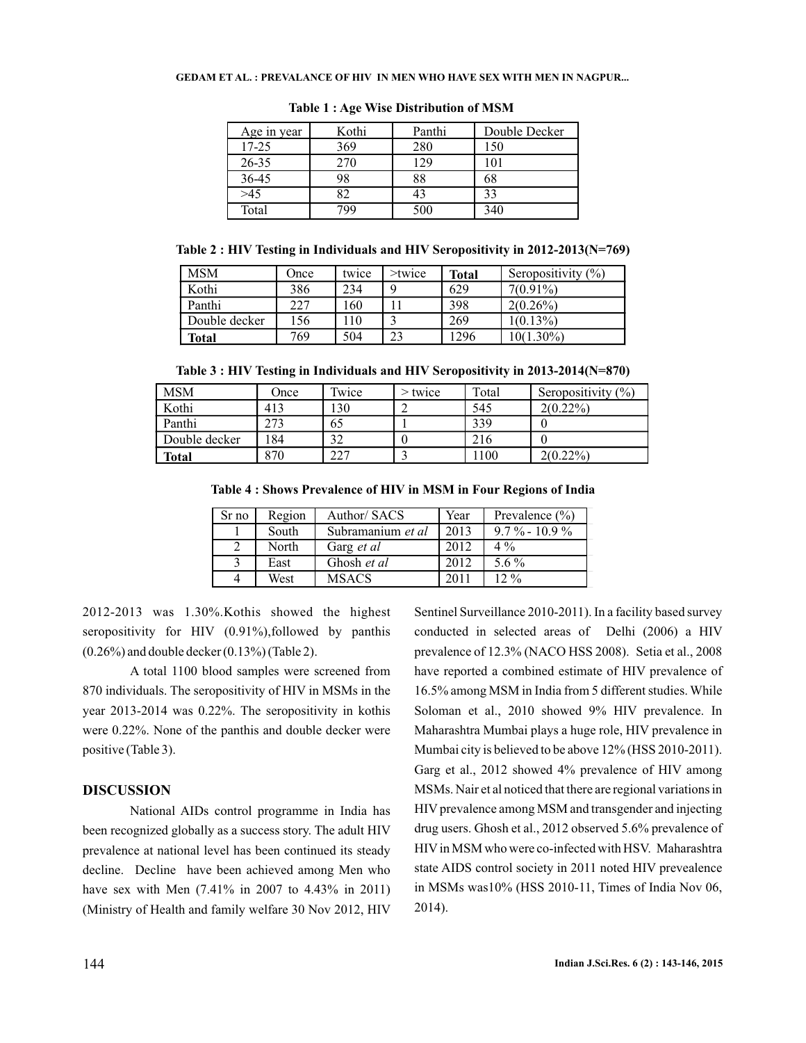#### **GEDAM ET AL. : PREVALANCE OF HIV IN MEN WHO HAVE SEX WITH MEN IN NAGPUR...**

| Age in year | Kothi | Panthi | Double Decker |
|-------------|-------|--------|---------------|
| 17-25       | 369   | 280    | 150           |
| 26-35       | 270   |        | 101           |
| 36-45       | 98    | 88     | 68            |
| >45         | 32    | 43     | 33            |
| Total       | 79C   | 500    | 340           |

**Table 1 : Age Wise Distribution of MSM**

**Table 2 : HIV Testing in Individuals and HIV Seropositivity in 2012-2013(N=769)**

| <b>MSM</b>    | Once | twice | $>$ twice | <b>Total</b> | Seropositivity $(\% )$ |
|---------------|------|-------|-----------|--------------|------------------------|
| Kothi         | 386  | 234   |           | 629          | $7(0.91\%)$            |
| Panthi        | 227  | 160   |           | 398          | $2(0.26\%)$            |
| Double decker | 156  | .10   |           | 269          | $1(0.13\%)$            |
| <b>Total</b>  | 769  | 504   | 23        | '296         | $0(1.30\%)$            |

**Table 3 : HIV Testing in Individuals and HIV Seropositivity in 2013-2014(N=870)**

| <b>MSM</b>    | Once | Twice | > twice | Total | Seropositivity $(\%)$ |
|---------------|------|-------|---------|-------|-----------------------|
| Kothi         | 413  | 130   |         | 545   | $2(0.22\%)$           |
| Panthi        | 273  | 65    |         | 339   |                       |
| Double decker | 184  | 32    |         | 216   |                       |
| <b>Total</b>  | 870  | 227   |         | 1100  | $2(0.22\%)$           |

**Table 4 : Shows Prevalence of HIV in MSM in Four Regions of India**

| Sr no | Region | Author/ SACS      | Year | Prevalence $(\% )$ |
|-------|--------|-------------------|------|--------------------|
|       | South  | Subramanium et al | 2013 | $9.7\% - 10.9\%$   |
|       | North  | Garg <i>et al</i> | 2012 | $4\%$              |
|       | East   | Ghosh et al       | 2012 | 5.6 $\%$           |
|       | West   | <b>MSACS</b>      | 2011 | 12.%               |

2012-2013 was 1.30%.Kothis showed the highest seropositivity for HIV (0.91%), followed by panthis (0.26%) and double decker (0.13%) (Table 2).

A total 1100 blood samples were screened from 870 individuals. The seropositivity of HIV in MSMs in the year 2013-2014 was 0.22%. The seropositivity in kothis were 0.22%. None of the panthis and double decker were positive (Table 3).

## **DISCUSSION**

National AIDs control programme in India has been recognized globally as a success story. The adult HIV prevalence at national level has been continued its steady decline. Decline have been achieved among Men who have sex with Men (7.41% in 2007 to 4.43% in 2011) (Ministry of Health and family welfare 30 Nov 2012, HIV Sentinel Surveillance 2010-2011). In a facility based survey conducted in selected areas of Delhi (2006) a HIV prevalence of 12.3% (NACO HSS 2008). Setia et al., 2008 have reported a combined estimate of HIV prevalence of 16.5% among MSM in India from 5 different studies. While Soloman et al., 2010 showed 9% HIV prevalence. In Maharashtra Mumbai plays a huge role, HIV prevalence in Mumbai city is believed to be above 12% (HSS 2010-2011). Garg et al., 2012 showed 4% prevalence of HIV among MSMs. Nair et al noticed that there are regional variations in HIV prevalence among MSM and transgender and injecting drug users. Ghosh et al., 2012 observed 5.6% prevalence of HIV in MSM who were co-infected with HSV. Maharashtra state AIDS control society in 2011 noted HIV prevealence in MSMs was10% (HSS 2010-11, Times of India Nov 06, 2014).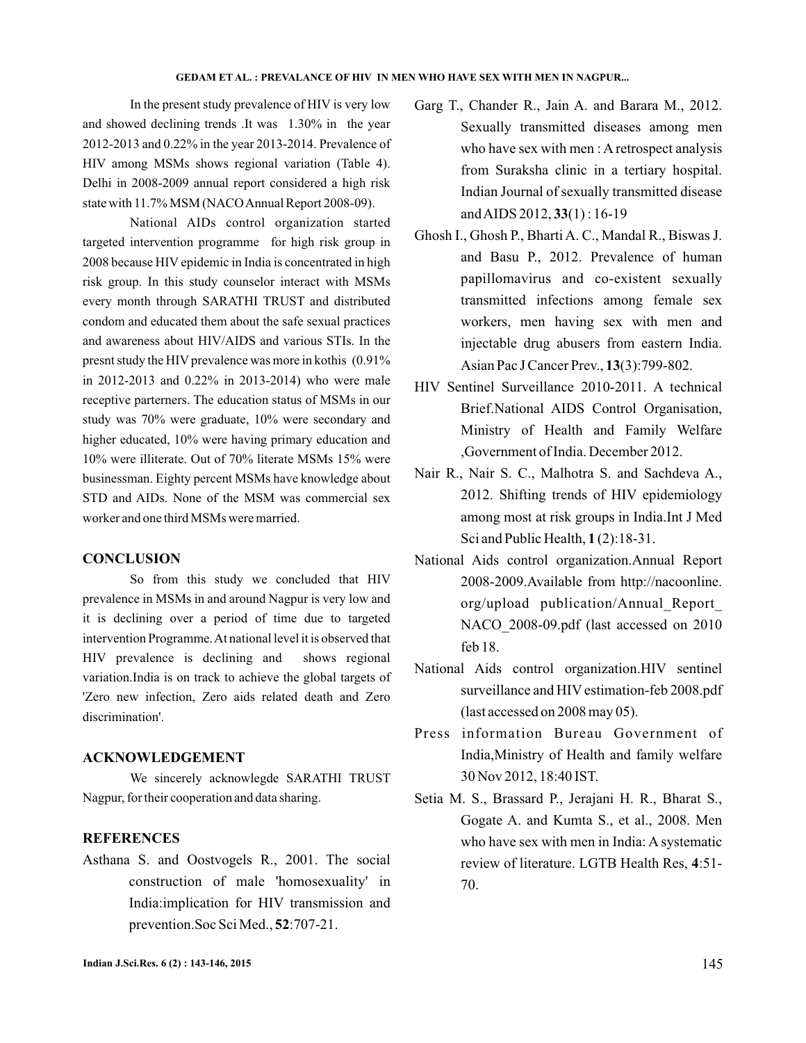#### **GEDAM ET AL. : PREVALANCE OF HIV IN MEN WHO HAVE SEX WITH MEN IN NAGPUR...**

In the present study prevalence of HIV is very low and showed declining trends .It was 1.30% in the year 2012-2013 and 0.22% in the year 2013-2014. Prevalence of HIV among MSMs shows regional variation (Table 4). Delhi in 2008-2009 annual report considered a high risk state with 11.7% MSM (NACOAnnual Report 2008-09).

National AIDs control organization started targeted intervention programme for high risk group in 2008 because HIV epidemic in India is concentrated in high risk group. In this study counselor interact with MSMs every month through SARATHI TRUST and distributed condom and educated them about the safe sexual practices and awareness about HIV/AIDS and various STIs. In the presnt study the HIV prevalence was more in kothis (0.91% in 2012-2013 and 0.22% in 2013-2014) who were male receptive parterners. The education status of MSMs in our study was 70% were graduate, 10% were secondary and higher educated, 10% were having primary education and 10% were illiterate. Out of 70% literate MSMs 15% were businessman. Eighty percent MSMs have knowledge about STD and AIDs. None of the MSM was commercial sex worker and one third MSMs were married.

### **CONCLUSION**

So from this study we concluded that HIV prevalence in MSMs in and around Nagpur is very low and it is declining over a period of time due to targeted intervention Programme.At national level it is observed that HIV prevalence is declining and shows regional variation.India is on track to achieve the global targets of 'Zero new infection, Zero aids related death and Zero discrimination'.

### **ACKNOWLEDGEMENT**

We sincerely acknowlegde SARATHI TRUST Nagpur, for their cooperation and data sharing.

### **REFERENCES**

prevention.Soc Sci Med., **52**:707-21. Asthana S. and Oostvogels R., 2001. The social construction of male 'homosexuality' in India:implication for HIV transmission and

- Garg T., Chander R., Jain A. and Barara M., 2012. Sexually transmitted diseases among men who have sex with men : A retrospect analysis from Suraksha clinic in a tertiary hospital. Indian Journal of sexually transmitted disease and AIDS 2012, 33(1): 16-19
- Ghosh I., Ghosh P., Bharti A. C., Mandal R., Biswas J. and Basu P., 2012. Prevalence of human papillomavirus and co-existent sexually transmitted infections among female sex workers, men having sex with men and injectable drug abusers from eastern India. Asian Pac J Cancer Prev., 13(3):799-802.
- HIV Sentinel Surveillance 2010-2011. A technical Brief.National AIDS Control Organisation, Ministry of Health and Family Welfare ,Government of India. December 2012.
- Nair R., Nair S. C., Malhotra S. and Sachdeva A., 2012. Shifting trends of HIV epidemiology among most at risk groups in India.Int J Med Sci and Public Health, **1**(2):18-31.
- National Aids control organization.Annual Report 2008-2009.Available from http://nacoonline. org/upload publication/Annual\_Report\_ NACO\_2008-09.pdf (last accessed on 2010 feb 18.
- National Aids control organization.HIV sentinel surveillance and HIV estimation-feb 2008.pdf (last accessed on 2008 may 05).
- Press information Bureau Government of India,Ministry of Health and family welfare 30 Nov 2012, 18:40 IST.
- Setia M. S., Brassard P., Jerajani H. R., Bharat S., Gogate A. and Kumta S., et al., 2008. Men who have sex with men in India: A systematic review of literature. LGTB Health Res, 4:51-70.